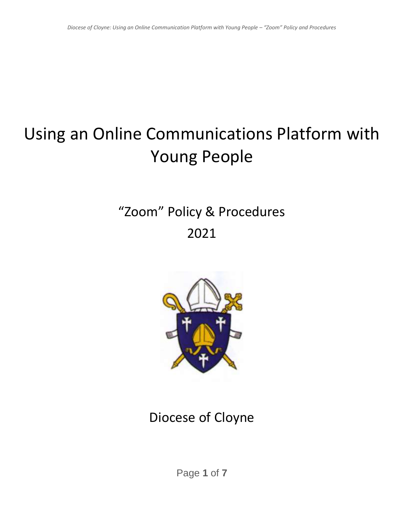# Using an Online Communications Platform with Young People

## "Zoom" Policy & Procedures 2021



### Diocese of Cloyne

Page **1** of **7**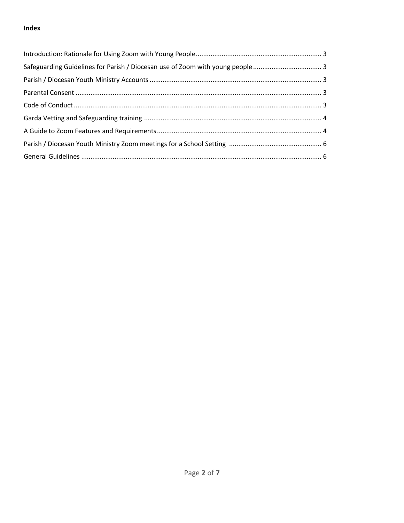#### Index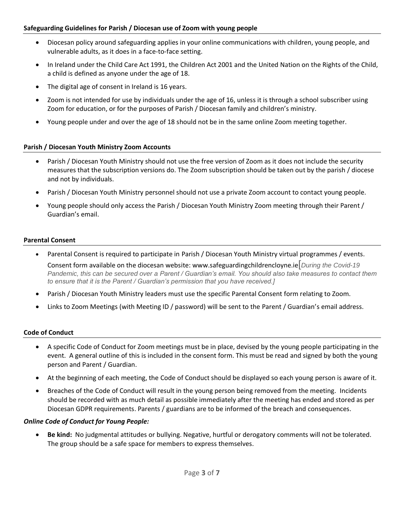- Diocesan policy around safeguarding applies in your online communications with children, young people, and vulnerable adults, as it does in a face-to-face setting.
- In Ireland under the Child Care Act 1991, the Children Act 2001 and the United Nation on the Rights of the Child, a child is defined as anyone under the age of 18.
- The digital age of consent in Ireland is 16 years.
- Zoom is not intended for use by individuals under the age of 16, unless it is through a school subscriber using Zoom for education, or for the purposes of Parish / Diocesan family and children's ministry.
- Young people under and over the age of 18 should not be in the same online Zoom meeting together.

#### **Parish / Diocesan Youth Ministry Zoom Accounts**

- Parish / Diocesan Youth Ministry should not use the free version of Zoom as it does not include the security measures that the subscription versions do. The Zoom subscription should be taken out by the parish / diocese and not by individuals.
- Parish / Diocesan Youth Ministry personnel should not use a private Zoom account to contact young people.
- Young people should only access the Parish / Diocesan Youth Ministry Zoom meeting through their Parent / Guardian's email.

#### **Parental Consent**

- Parental Consent is required to participate in Parish / Diocesan Youth Ministry virtual programmes / events. Consent form available on the diocesan website: www.safeguardingchildrencloyne.ie[*During the Covid-19 Pandemic, this can be secured over a Parent / Guardian's email. You should also take measures to contact them to ensure that it is the Parent / Guardian's permission that you have received.]*
- Parish / Diocesan Youth Ministry leaders must use the specific Parental Consent form relating to Zoom.
- Links to Zoom Meetings (with Meeting ID / password) will be sent to the Parent / Guardian's email address.

#### **Code of Conduct**

- A specific Code of Conduct for Zoom meetings must be in place, devised by the young people participating in the event. A general outline of this is included in the consent form. This must be read and signed by both the young person and Parent / Guardian.
- At the beginning of each meeting, the Code of Conduct should be displayed so each young person is aware of it.
- Breaches of the Code of Conduct will result in the young person being removed from the meeting. Incidents should be recorded with as much detail as possible immediately after the meeting has ended and stored as per Diocesan GDPR requirements. Parents / guardians are to be informed of the breach and consequences.

#### *Online Code of Conduct for Young People:*

• **Be kind:** No judgmental attitudes or bullying. Negative, hurtful or derogatory comments will not be tolerated. The group should be a safe space for members to express themselves.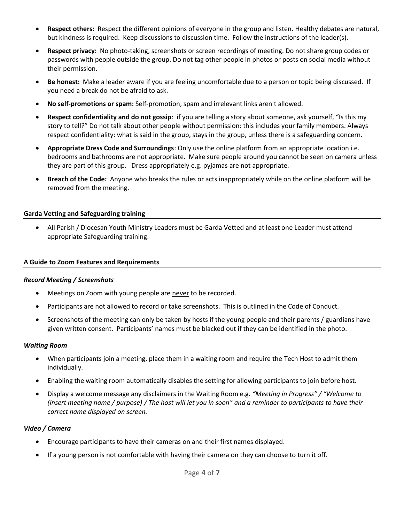- **Respect others:** Respect the different opinions of everyone in the group and listen. Healthy debates are natural, but kindness is required. Keep discussions to discussion time. Follow the instructions of the leader(s).
- **Respect privacy:** No photo-taking, screenshots or screen recordings of meeting. Do not share group codes or passwords with people outside the group. Do not tag other people in photos or posts on social media without their permission.
- **Be honest:** Make a leader aware if you are feeling uncomfortable due to a person or topic being discussed. If you need a break do not be afraid to ask.
- **No self-promotions or spam:** Self-promotion, spam and irrelevant links aren't allowed.
- **Respect confidentiality and do not gossip**: if you are telling a story about someone, ask yourself, "Is this my story to tell?" Do not talk about other people without permission: this includes your family members. Always respect confidentiality: what is said in the group, stays in the group, unless there is a safeguarding concern.
- **Appropriate Dress Code and Surroundings**: Only use the online platform from an appropriate location i.e. bedrooms and bathrooms are not appropriate. Make sure people around you cannot be seen on camera unless they are part of this group. Dress appropriately e.g. pyjamas are not appropriate.
- **Breach of the Code:** Anyone who breaks the rules or acts inappropriately while on the online platform will be removed from the meeting.

#### **Garda Vetting and Safeguarding training**

• All Parish / Diocesan Youth Ministry Leaders must be Garda Vetted and at least one Leader must attend appropriate Safeguarding training.

#### **A Guide to Zoom Features and Requirements**

#### *Record Meeting / Screenshots*

- Meetings on Zoom with young people are never to be recorded.
- Participants are not allowed to record or take screenshots. This is outlined in the Code of Conduct.
- Screenshots of the meeting can only be taken by hosts if the young people and their parents / guardians have given written consent. Participants' names must be blacked out if they can be identified in the photo.

#### *Waiting Room*

- When participants join a meeting, place them in a waiting room and require the Tech Host to admit them individually.
- Enabling the waiting room automatically disables the setting for allowing participants to join before host.
- Display a welcome message any disclaimers in the Waiting Room e.g*. "Meeting in Progress" / "Welcome to (insert meeting name / purpose) / The host will let you in soon" and a reminder to participants to have their correct name displayed on screen.*

#### *Video / Camera*

- Encourage participants to have their cameras on and their first names displayed.
- If a young person is not comfortable with having their camera on they can choose to turn it off.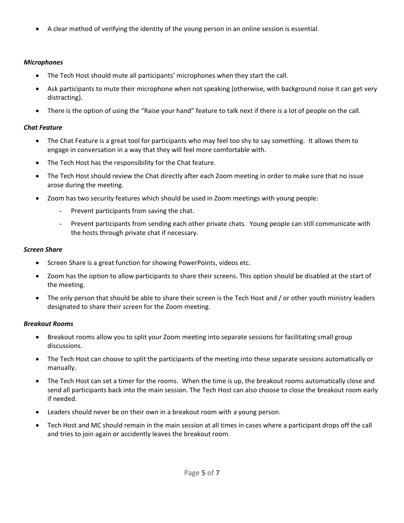• A clear method of verifying the identity of the young person in an online session is essential.

#### *Microphones*

- The Tech Host should mute all participants' microphones when they start the call.
- Ask participants to mute their microphone when not speaking (otherwise, with background noise it can get very distracting).
- There is the option of using the "Raise your hand" feature to talk next if there is a lot of people on the call.

#### *Chat Feature*

- The Chat Feature is a great tool for participants who may feel too shy to say something. It allows them to engage in conversation in a way that they will feel more comfortable with.
- The Tech Host has the responsibility for the Chat feature.
- The Tech Host should review the Chat directly after each Zoom meeting in order to make sure that no issue arose during the meeting.
- Zoom has two security features which should be used in Zoom meetings with young people:
	- Prevent participants from saving the chat.
	- Prevent participants from sending each other private chats. Young people can still communicate with the hosts through private chat if necessary.

#### *Screen Share*

- Screen Share is a great function for showing PowerPoints, videos etc.
- Zoom has the option to allow participants to share their screens. This option should be disabled at the start of the meeting.
- The only person that should be able to share their screen is the Tech Host and / or other youth ministry leaders designated to share their screen for the Zoom meeting.

#### *Breakout Rooms*

- Breakout rooms allow you to split your Zoom meeting into separate sessions for facilitating small group discussions.
- The Tech Host can choose to split the participants of the meeting into these separate sessions automatically or manually.
- The Tech Host can set a timer for the rooms. When the time is up, the breakout rooms automatically close and send all participants back into the main session. The Tech Host can also choose to close the breakout room early if needed.
- Leaders should never be on their own in a breakout room with a young person.
- Tech Host and MC should remain in the main session at all times in cases where a participant drops off the call and tries to join again or accidently leaves the breakout room.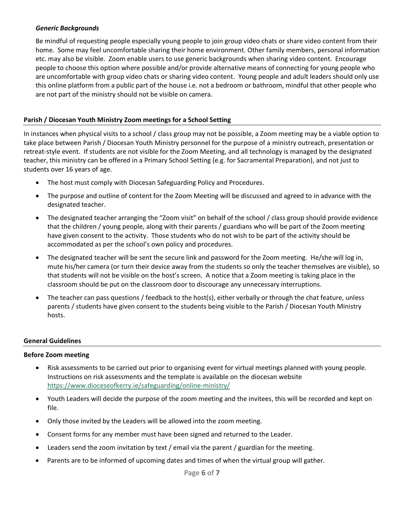#### *Generic Backgrounds*

Be mindful of requesting people especially young people to join group video chats or share video content from their home. Some may feel uncomfortable sharing their home environment. Other family members, personal information etc. may also be visible. Zoom enable users to use generic backgrounds when sharing video content. Encourage people to choose this option where possible and/or provide alternative means of connecting for young people who are uncomfortable with group video chats or sharing video content. Young people and adult leaders should only use this online platform from a public part of the house i.e. not a bedroom or bathroom, mindful that other people who are not part of the ministry should not be visible on camera.

#### **Parish / Diocesan Youth Ministry Zoom meetings for a School Setting**

In instances when physical visits to a school / class group may not be possible, a Zoom meeting may be a viable option to take place between Parish / Diocesan Youth Ministry personnel for the purpose of a ministry outreach, presentation or retreat-style event. If students are not visible for the Zoom Meeting, and all technology is managed by the designated teacher, this ministry can be offered in a Primary School Setting (e.g. for Sacramental Preparation), and not just to students over 16 years of age.

- The host must comply with Diocesan Safeguarding Policy and Procedures.
- The purpose and outline of content for the Zoom Meeting will be discussed and agreed to in advance with the designated teacher.
- The designated teacher arranging the "Zoom visit" on behalf of the school / class group should provide evidence that the children / young people, along with their parents / guardians who will be part of the Zoom meeting have given consent to the activity. Those students who do not wish to be part of the activity should be accommodated as per the school's own policy and procedures.
- The designated teacher will be sent the secure link and password for the Zoom meeting. He/she will log in, mute his/her camera (or turn their device away from the students so only the teacher themselves are visible), so that students will not be visible on the host's screen. A notice that a Zoom meeting is taking place in the classroom should be put on the classroom door to discourage any unnecessary interruptions.
- The teacher can pass questions / feedback to the host(s), either verbally or through the chat feature, unless parents / students have given consent to the students being visible to the Parish / Diocesan Youth Ministry hosts.

#### **General Guidelines**

#### **Before Zoom meeting**

- Risk assessments to be carried out prior to organising event for virtual meetings planned with young people. Instructions on risk assessments and the template is available on the diocesan website <https://www.dioceseofkerry.ie/safeguarding/online-ministry/>
- Youth Leaders will decide the purpose of the zoom meeting and the invitees, this will be recorded and kept on file.
- Only those invited by the Leaders will be allowed into the zoom meeting.
- Consent forms for any member must have been signed and returned to the Leader.
- Leaders send the zoom invitation by text / email via the parent / guardian for the meeting.
- Parents are to be informed of upcoming dates and times of when the virtual group will gather.